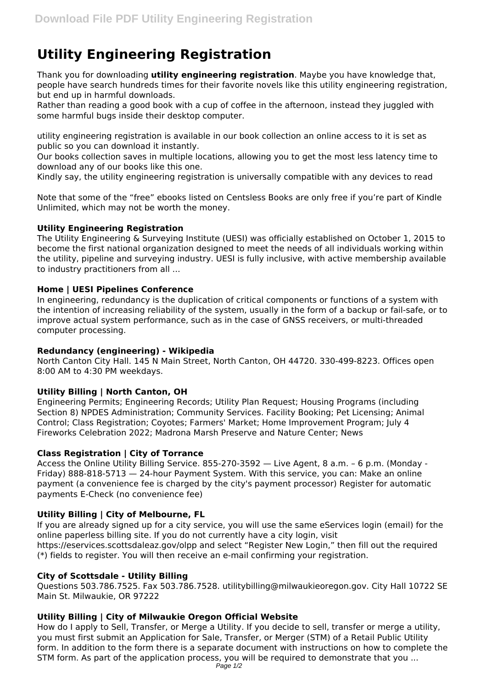# **Utility Engineering Registration**

Thank you for downloading **utility engineering registration**. Maybe you have knowledge that, people have search hundreds times for their favorite novels like this utility engineering registration, but end up in harmful downloads.

Rather than reading a good book with a cup of coffee in the afternoon, instead they juggled with some harmful bugs inside their desktop computer.

utility engineering registration is available in our book collection an online access to it is set as public so you can download it instantly.

Our books collection saves in multiple locations, allowing you to get the most less latency time to download any of our books like this one.

Kindly say, the utility engineering registration is universally compatible with any devices to read

Note that some of the "free" ebooks listed on Centsless Books are only free if you're part of Kindle Unlimited, which may not be worth the money.

# **Utility Engineering Registration**

The Utility Engineering & Surveying Institute (UESI) was officially established on October 1, 2015 to become the first national organization designed to meet the needs of all individuals working within the utility, pipeline and surveying industry. UESI is fully inclusive, with active membership available to industry practitioners from all ...

# **Home | UESI Pipelines Conference**

In engineering, redundancy is the duplication of critical components or functions of a system with the intention of increasing reliability of the system, usually in the form of a backup or fail-safe, or to improve actual system performance, such as in the case of GNSS receivers, or multi-threaded computer processing.

# **Redundancy (engineering) - Wikipedia**

North Canton City Hall. 145 N Main Street, North Canton, OH 44720. 330-499-8223. Offices open 8:00 AM to 4:30 PM weekdays.

# **Utility Billing | North Canton, OH**

Engineering Permits; Engineering Records; Utility Plan Request; Housing Programs (including Section 8) NPDES Administration; Community Services. Facility Booking; Pet Licensing; Animal Control; Class Registration; Coyotes; Farmers' Market; Home Improvement Program; July 4 Fireworks Celebration 2022; Madrona Marsh Preserve and Nature Center; News

# **Class Registration | City of Torrance**

Access the Online Utility Billing Service. 855-270-3592 — Live Agent, 8 a.m. – 6 p.m. (Monday - Friday) 888-818-5713 — 24-hour Payment System. With this service, you can: Make an online payment (a convenience fee is charged by the city's payment processor) Register for automatic payments E-Check (no convenience fee)

#### **Utility Billing | City of Melbourne, FL**

If you are already signed up for a city service, you will use the same eServices login (email) for the online paperless billing site. If you do not currently have a city login, visit https://eservices.scottsdaleaz.gov/olpp and select "Register New Login," then fill out the required (\*) fields to register. You will then receive an e-mail confirming your registration.

#### **City of Scottsdale - Utility Billing**

Questions 503.786.7525. Fax 503.786.7528. utilitybilling@milwaukieoregon.gov. City Hall 10722 SE Main St. Milwaukie, OR 97222

# **Utility Billing | City of Milwaukie Oregon Official Website**

How do I apply to Sell, Transfer, or Merge a Utility. If you decide to sell, transfer or merge a utility, you must first submit an Application for Sale, Transfer, or Merger (STM) of a Retail Public Utility form. In addition to the form there is a separate document with instructions on how to complete the STM form. As part of the application process, you will be required to demonstrate that you ...